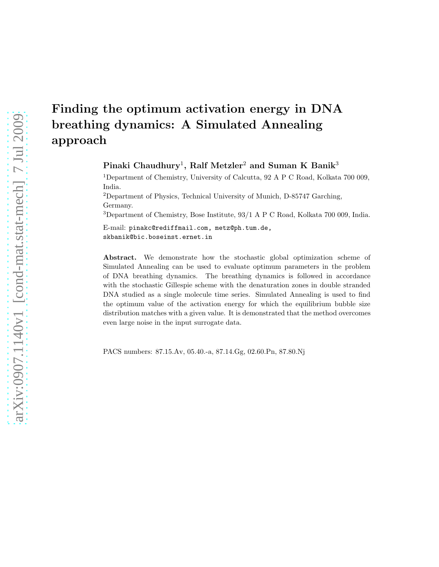# Finding the optimum activation energy in DNA breathing dynamics: A Simulated Annealing approach

## Pinaki Chaudhury<sup>1</sup>, Ralf Metzler<sup>2</sup> and Suman K Banik<sup>3</sup>

<sup>1</sup>Department of Chemistry, University of Calcutta, 92 A P C Road, Kolkata 700 009, India.

<sup>2</sup>Department of Physics, Technical University of Munich, D-85747 Garching, Germany.

<sup>3</sup>Department of Chemistry, Bose Institute, 93/1 A P C Road, Kolkata 700 009, India.

E-mail: pinakc@rediffmail.com, metz@ph.tum.de, skbanik@bic.boseinst.ernet.in

Abstract. We demonstrate how the stochastic global optimization scheme of Simulated Annealing can be used to evaluate optimum parameters in the problem of DNA breathing dynamics. The breathing dynamics is followed in accordance with the stochastic Gillespie scheme with the denaturation zones in double stranded DNA studied as a single molecule time series. Simulated Annealing is used to find the optimum value of the activation energy for which the equilibrium bubble size distribution matches with a given value. It is demonstrated that the method overcomes even large noise in the input surrogate data.

PACS numbers: 87.15.Av, 05.40.-a, 87.14.Gg, 02.60.Pn, 87.80.Nj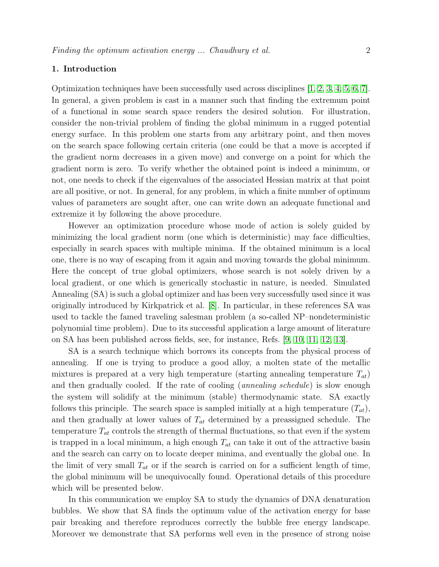#### 1. Introduction

Optimization techniques have been successfully used across disciplines [\[1,](#page-8-0) [2,](#page-8-1) [3,](#page-8-2) [4,](#page-8-3) [5,](#page-8-4) [6,](#page-8-5) [7\]](#page-8-6). In general, a given problem is cast in a manner such that finding the extremum point of a functional in some search space renders the desired solution. For illustration, consider the non-trivial problem of finding the global minimum in a rugged potential energy surface. In this problem one starts from any arbitrary point, and then moves on the search space following certain criteria (one could be that a move is accepted if the gradient norm decreases in a given move) and converge on a point for which the gradient norm is zero. To verify whether the obtained point is indeed a minimum, or not, one needs to check if the eigenvalues of the associated Hessian matrix at that point are all positive, or not. In general, for any problem, in which a finite number of optimum values of parameters are sought after, one can write down an adequate functional and extremize it by following the above procedure.

However an optimization procedure whose mode of action is solely guided by minimizing the local gradient norm (one which is deterministic) may face difficulties, especially in search spaces with multiple minima. If the obtained minimum is a local one, there is no way of escaping from it again and moving towards the global minimum. Here the concept of true global optimizers, whose search is not solely driven by a local gradient, or one which is generically stochastic in nature, is needed. Simulated Annealing (SA) is such a global optimizer and has been very successfully used since it was originally introduced by Kirkpatrick et al. [\[8\]](#page-8-7). In particular, in these references SA was used to tackle the famed traveling salesman problem (a so-called NP–nondeterministic polynomial time problem). Due to its successful application a large amount of literature on SA has been published across fields, see, for instance, Refs. [\[9,](#page-8-8) [10,](#page-8-9) [11,](#page-8-10) [12,](#page-8-11) [13\]](#page-8-12).

SA is a search technique which borrows its concepts from the physical process of annealing. If one is trying to produce a good alloy, a molten state of the metallic mixtures is prepared at a very high temperature (starting annealing temperature  $T_{at}$ ) and then gradually cooled. If the rate of cooling (annealing schedule) is slow enough the system will solidify at the minimum (stable) thermodynamic state. SA exactly follows this principle. The search space is sampled initially at a high temperature  $(T_{at})$ , and then gradually at lower values of  $T_{at}$  determined by a preassigned schedule. The temperature  $T_{at}$  controls the strength of thermal fluctuations, so that even if the system is trapped in a local minimum, a high enough  $T_{at}$  can take it out of the attractive basin and the search can carry on to locate deeper minima, and eventually the global one. In the limit of very small  $T_{at}$  or if the search is carried on for a sufficient length of time, the global minimum will be unequivocally found. Operational details of this procedure which will be presented below.

In this communication we employ SA to study the dynamics of DNA denaturation bubbles. We show that SA finds the optimum value of the activation energy for base pair breaking and therefore reproduces correctly the bubble free energy landscape. Moreover we demonstrate that SA performs well even in the presence of strong noise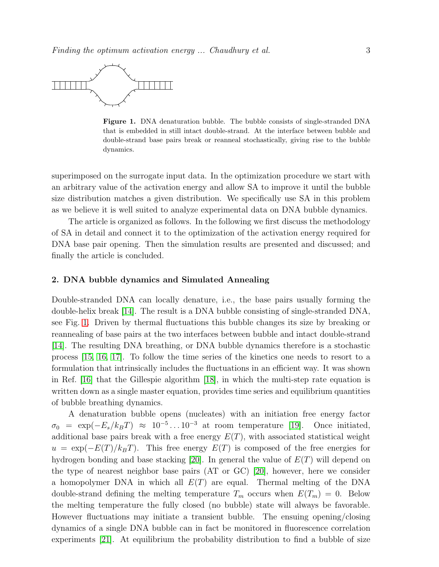

<span id="page-2-0"></span>Figure 1. DNA denaturation bubble. The bubble consists of single-stranded DNA that is embedded in still intact double-strand. At the interface between bubble and double-strand base pairs break or reanneal stochastically, giving rise to the bubble dynamics.

superimposed on the surrogate input data. In the optimization procedure we start with an arbitrary value of the activation energy and allow SA to improve it until the bubble size distribution matches a given distribution. We specifically use SA in this problem as we believe it is well suited to analyze experimental data on DNA bubble dynamics.

The article is organized as follows. In the following we first discuss the methodology of SA in detail and connect it to the optimization of the activation energy required for DNA base pair opening. Then the simulation results are presented and discussed; and finally the article is concluded.

#### 2. DNA bubble dynamics and Simulated Annealing

Double-stranded DNA can locally denature, i.e., the base pairs usually forming the double-helix break [\[14\]](#page-8-13). The result is a DNA bubble consisting of single-stranded DNA, see Fig. [1.](#page-2-0) Driven by thermal fluctuations this bubble changes its size by breaking or reannealing of base pairs at the two interfaces between bubble and intact double-strand [\[14\]](#page-8-13). The resulting DNA breathing, or DNA bubble dynamics therefore is a stochastic process [\[15,](#page-8-14) [16,](#page-8-15) [17\]](#page-8-16). To follow the time series of the kinetics one needs to resort to a formulation that intrinsically includes the fluctuations in an efficient way. It was shown in Ref. [\[16\]](#page-8-15) that the Gillespie algorithm [\[18\]](#page-8-17), in which the multi-step rate equation is written down as a single master equation, provides time series and equilibrium quantities of bubble breathing dynamics.

A denaturation bubble opens (nucleates) with an initiation free energy factor  $\sigma_0 = \exp(-E_s/k_B T) \approx 10^{-5} \dots 10^{-3}$  at room temperature [\[19\]](#page-8-18). Once initiated, additional base pairs break with a free energy  $E(T)$ , with associated statistical weight  $u = \exp(-E(T)/k_BT)$ . This free energy  $E(T)$  is composed of the free energies for hydrogen bonding and base stacking [\[20\]](#page-8-19). In general the value of  $E(T)$  will depend on the type of nearest neighbor base pairs (AT or GC) [\[20\]](#page-8-19), however, here we consider a homopolymer DNA in which all  $E(T)$  are equal. Thermal melting of the DNA double-strand defining the melting temperature  $T_m$  occurs when  $E(T_m) = 0$ . Below the melting temperature the fully closed (no bubble) state will always be favorable. However fluctuations may initiate a transient bubble. The ensuing opening/closing dynamics of a single DNA bubble can in fact be monitored in fluorescence correlation experiments [\[21\]](#page-8-20). At equilibrium the probability distribution to find a bubble of size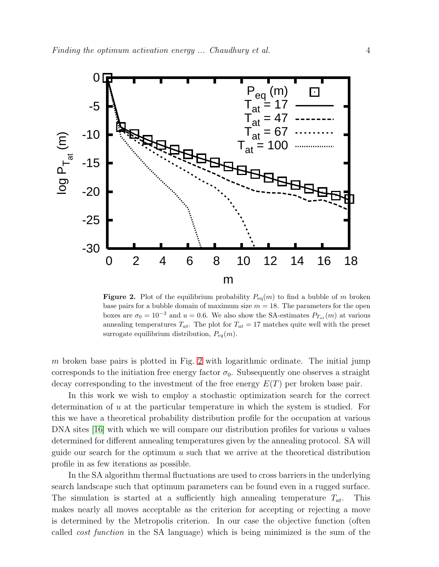

<span id="page-3-0"></span>**Figure 2.** Plot of the equilibrium probability  $P_{eq}(m)$  to find a bubble of m broken base pairs for a bubble domain of maximum size  $m = 18$ . The parameters for the open boxes are  $\sigma_0 = 10^{-3}$  and  $u = 0.6$ . We also show the SA-estimates  $P_{T_{at}}(m)$  at various annealing temperatures  $T_{at}$ . The plot for  $T_{at} = 17$  matches quite well with the preset surrogate equilibrium distribution,  $P_{eq}(m)$ .

m broken base pairs is plotted in Fig. [2](#page-3-0) with logarithmic ordinate. The initial jump corresponds to the initiation free energy factor  $\sigma_0$ . Subsequently one observes a straight decay corresponding to the investment of the free energy  $E(T)$  per broken base pair.

In this work we wish to employ a stochastic optimization search for the correct determination of  $u$  at the particular temperature in which the system is studied. For this we have a theoretical probability distribution profile for the occupation at various DNA sites [\[16\]](#page-8-15) with which we will compare our distribution profiles for various  $u$  values determined for different annealing temperatures given by the annealing protocol. SA will guide our search for the optimum  $u$  such that we arrive at the theoretical distribution profile in as few iterations as possible.

In the SA algorithm thermal fluctuations are used to cross barriers in the underlying search landscape such that optimum parameters can be found even in a rugged surface. The simulation is started at a sufficiently high annealing temperature  $T_{at}$ . This makes nearly all moves acceptable as the criterion for accepting or rejecting a move is determined by the Metropolis criterion. In our case the objective function (often called cost function in the SA language) which is being minimized is the sum of the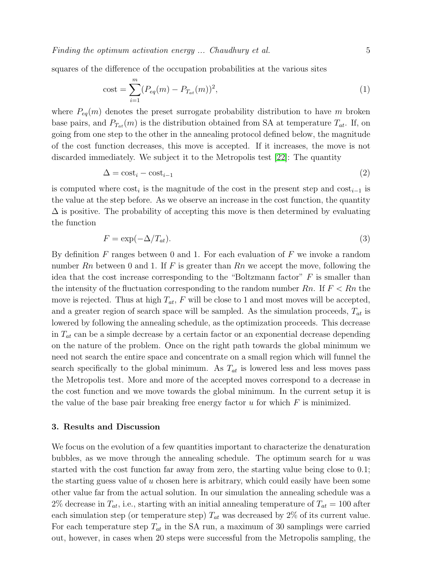squares of the difference of the occupation probabilities at the various sites

cost = 
$$
\sum_{i=1}^{m} (P_{eq}(m) - P_{T_{at}}(m))^2,
$$
 (1)

where  $P_{eq}(m)$  denotes the preset surrogate probability distribution to have m broken base pairs, and  $P_{T_{at}}(m)$  is the distribution obtained from SA at temperature  $T_{at}$ . If, on going from one step to the other in the annealing protocol defined below, the magnitude of the cost function decreases, this move is accepted. If it increases, the move is not discarded immediately. We subject it to the Metropolis test [\[22\]](#page-8-21): The quantity

$$
\Delta = \text{cost}_i - \text{cost}_{i-1} \tag{2}
$$

is computed where  $\text{cost}_i$  is the magnitude of the cost in the present step and  $\text{cost}_{i-1}$  is the value at the step before. As we observe an increase in the cost function, the quantity  $\Delta$  is positive. The probability of accepting this move is then determined by evaluating the function

$$
F = \exp(-\Delta/T_{at}).\tag{3}
$$

By definition  $F$  ranges between 0 and 1. For each evaluation of  $F$  we invoke a random number  $R_n$  between 0 and 1. If F is greater than  $R_n$  we accept the move, following the idea that the cost increase corresponding to the "Boltzmann factor" F is smaller than the intensity of the fluctuation corresponding to the random number  $R_n$ . If  $F < R_n$  the move is rejected. Thus at high  $T_{at}$ , F will be close to 1 and most moves will be accepted, and a greater region of search space will be sampled. As the simulation proceeds,  $T_{at}$  is lowered by following the annealing schedule, as the optimization proceeds. This decrease in  $T_{at}$  can be a simple decrease by a certain factor or an exponential decrease depending on the nature of the problem. Once on the right path towards the global minimum we need not search the entire space and concentrate on a small region which will funnel the search specifically to the global minimum. As  $T_{at}$  is lowered less and less moves pass the Metropolis test. More and more of the accepted moves correspond to a decrease in the cost function and we move towards the global minimum. In the current setup it is the value of the base pair breaking free energy factor  $u$  for which  $F$  is minimized.

#### 3. Results and Discussion

We focus on the evolution of a few quantities important to characterize the denaturation bubbles, as we move through the annealing schedule. The optimum search for  $u$  was started with the cost function far away from zero, the starting value being close to 0.1; the starting guess value of u chosen here is arbitrary, which could easily have been some other value far from the actual solution. In our simulation the annealing schedule was a 2% decrease in  $T_{at}$ , i.e., starting with an initial annealing temperature of  $T_{at} = 100$  after each simulation step (or temperature step)  $T_{at}$  was decreased by 2% of its current value. For each temperature step  $T_{at}$  in the SA run, a maximum of 30 samplings were carried out, however, in cases when 20 steps were successful from the Metropolis sampling, the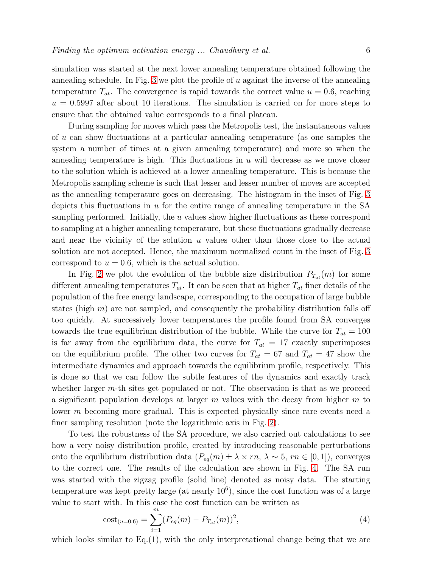simulation was started at the next lower annealing temperature obtained following the annealing schedule. In Fig. [3](#page-6-0) we plot the profile of  $u$  against the inverse of the annealing temperature  $T_{at}$ . The convergence is rapid towards the correct value  $u = 0.6$ , reaching  $u = 0.5997$  after about 10 iterations. The simulation is carried on for more steps to ensure that the obtained value corresponds to a final plateau.

During sampling for moves which pass the Metropolis test, the instantaneous values of u can show fluctuations at a particular annealing temperature (as one samples the system a number of times at a given annealing temperature) and more so when the annealing temperature is high. This fluctuations in  $u$  will decrease as we move closer to the solution which is achieved at a lower annealing temperature. This is because the Metropolis sampling scheme is such that lesser and lesser number of moves are accepted as the annealing temperature goes on decreasing. The histogram in the inset of Fig. [3](#page-6-0) depicts this fluctuations in  $u$  for the entire range of annealing temperature in the SA sampling performed. Initially, the  $u$  values show higher fluctuations as these correspond to sampling at a higher annealing temperature, but these fluctuations gradually decrease and near the vicinity of the solution  $u$  values other than those close to the actual solution are not accepted. Hence, the maximum normalized count in the inset of Fig. [3](#page-6-0) correspond to  $u = 0.6$ , which is the actual solution.

In Fig. [2](#page-3-0) we plot the evolution of the bubble size distribution  $P_{T_{at}}(m)$  for some different annealing temperatures  $T_{at}$ . It can be seen that at higher  $T_{at}$  finer details of the population of the free energy landscape, corresponding to the occupation of large bubble states (high  $m$ ) are not sampled, and consequently the probability distribution falls off too quickly. At successively lower temperatures the profile found from SA converges towards the true equilibrium distribution of the bubble. While the curve for  $T_{at} = 100$ is far away from the equilibrium data, the curve for  $T_{at} = 17$  exactly superimposes on the equilibrium profile. The other two curves for  $T_{at} = 67$  and  $T_{at} = 47$  show the intermediate dynamics and approach towards the equilibrium profile, respectively. This is done so that we can follow the subtle features of the dynamics and exactly track whether larger  $m$ -th sites get populated or not. The observation is that as we proceed a significant population develops at larger  $m$  values with the decay from higher  $m$  to lower m becoming more gradual. This is expected physically since rare events need a finer sampling resolution (note the logarithmic axis in Fig. [2\)](#page-3-0).

To test the robustness of the SA procedure, we also carried out calculations to see how a very noisy distribution profile, created by introducing reasonable perturbations onto the equilibrium distribution data  $(P_{eq}(m) \pm \lambda \times rn, \lambda \sim 5, rn \in [0,1]),$  converges to the correct one. The results of the calculation are shown in Fig. [4.](#page-7-0) The SA run was started with the zigzag profile (solid line) denoted as noisy data. The starting temperature was kept pretty large (at nearly  $10^6$ ), since the cost function was of a large value to start with. In this case the cost function can be written as

$$
cost_{(u=0.6)} = \sum_{i=1}^{m} (P_{eq}(m) - P_{T_{at}}(m))^2,
$$
\n(4)

which looks similar to  $Eq.(1)$ , with the only interpretational change being that we are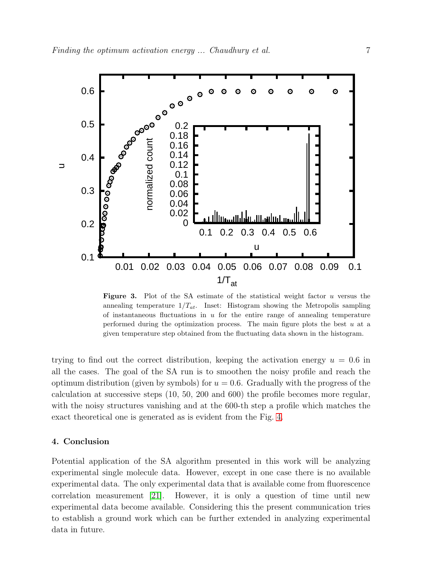

<span id="page-6-0"></span>**Figure 3.** Plot of the SA estimate of the statistical weight factor  $u$  versus the annealing temperature  $1/T_{at}$ . Inset: Histogram showing the Metropolis sampling of instantaneous fluctuations in  $u$  for the entire range of annealing temperature performed during the optimization process. The main figure plots the best  $u$  at a given temperature step obtained from the fluctuating data shown in the histogram.

trying to find out the correct distribution, keeping the activation energy  $u = 0.6$  in all the cases. The goal of the SA run is to smoothen the noisy profile and reach the optimum distribution (given by symbols) for  $u = 0.6$ . Gradually with the progress of the calculation at successive steps (10, 50, 200 and 600) the profile becomes more regular, with the noisy structures vanishing and at the 600-th step a profile which matches the exact theoretical one is generated as is evident from the Fig. [4.](#page-7-0)

### 4. Conclusion

Potential application of the SA algorithm presented in this work will be analyzing experimental single molecule data. However, except in one case there is no available experimental data. The only experimental data that is available come from fluorescence correlation measurement [\[21\]](#page-8-20). However, it is only a question of time until new experimental data become available. Considering this the present communication tries to establish a ground work which can be further extended in analyzing experimental data in future.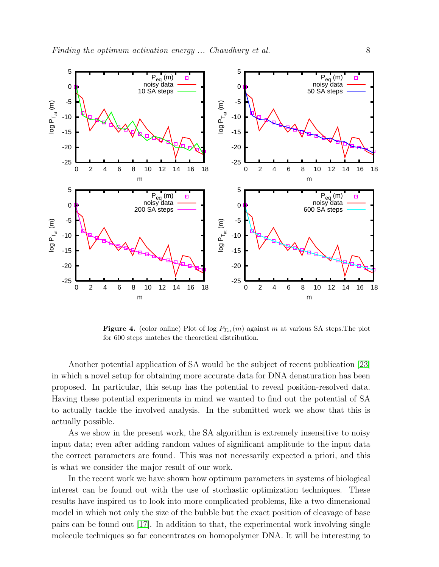

<span id="page-7-0"></span>**Figure 4.** (color online) Plot of log  $P_{T_{at}}(m)$  against m at various SA steps. The plot for 600 steps matches the theoretical distribution.

Another potential application of SA would be the subject of recent publication [\[23\]](#page-8-22) in which a novel setup for obtaining more accurate data for DNA denaturation has been proposed. In particular, this setup has the potential to reveal position-resolved data. Having these potential experiments in mind we wanted to find out the potential of SA to actually tackle the involved analysis. In the submitted work we show that this is actually possible.

As we show in the present work, the SA algorithm is extremely insensitive to noisy input data; even after adding random values of significant amplitude to the input data the correct parameters are found. This was not necessarily expected a priori, and this is what we consider the major result of our work.

In the recent work we have shown how optimum parameters in systems of biological interest can be found out with the use of stochastic optimization techniques. These results have inspired us to look into more complicated problems, like a two dimensional model in which not only the size of the bubble but the exact position of cleavage of base pairs can be found out [\[17\]](#page-8-16). In addition to that, the experimental work involving single molecule techniques so far concentrates on homopolymer DNA. It will be interesting to